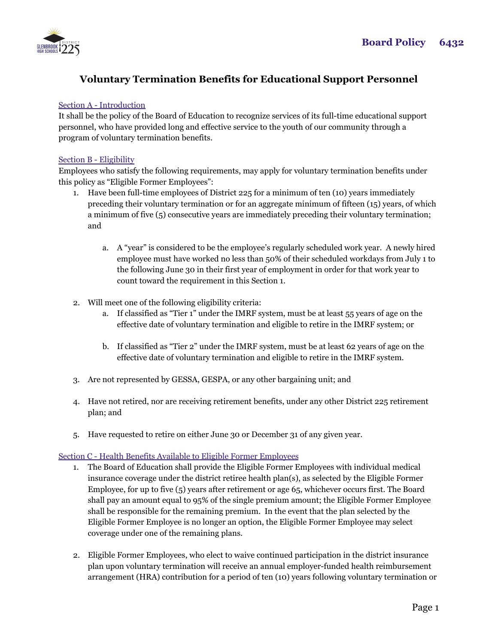

# **Voluntary Termination Benefits for Educational Support Personnel**

## Section A - Introduction

It shall be the policy of the Board of Education to recognize services of its full-time educational support personnel, who have provided long and effective service to the youth of our community through a program of voluntary termination benefits.

### Section B - Eligibility

Employees who satisfy the following requirements, may apply for voluntary termination benefits under this policy as "Eligible Former Employees":

- 1. Have been full-time employees of District 225 for a minimum of ten (10) years immediately preceding their voluntary termination or for an aggregate minimum of fifteen (15) years, of which a minimum of five (5) consecutive years are immediately preceding their voluntary termination; and
	- a. A "year" is considered to be the employee's regularly scheduled work year. A newly hired employee must have worked no less than 50% of their scheduled workdays from July 1 to the following June 30 in their first year of employment in order for that work year to count toward the requirement in this Section 1.
- 2. Will meet one of the following eligibility criteria:
	- a. If classified as "Tier 1" under the IMRF system, must be at least 55 years of age on the effective date of voluntary termination and eligible to retire in the IMRF system; or
	- b. If classified as "Tier 2" under the IMRF system, must be at least 62 years of age on the effective date of voluntary termination and eligible to retire in the IMRF system.
- 3. Are not represented by GESSA, GESPA, or any other bargaining unit; and
- 4. Have not retired, nor are receiving retirement benefits, under any other District 225 retirement plan; and
- 5. Have requested to retire on either June 30 or December 31 of any given year.

# Section C - Health Benefits Available to Eligible Former Employees

- 1. The Board of Education shall provide the Eligible Former Employees with individual medical insurance coverage under the district retiree health plan(s), as selected by the Eligible Former Employee, for up to five (5) years after retirement or age 65, whichever occurs first. The Board shall pay an amount equal to 95% of the single premium amount; the Eligible Former Employee shall be responsible for the remaining premium. In the event that the plan selected by the Eligible Former Employee is no longer an option, the Eligible Former Employee may select coverage under one of the remaining plans.
- 2. Eligible Former Employees, who elect to waive continued participation in the district insurance plan upon voluntary termination will receive an annual employer-funded health reimbursement arrangement (HRA) contribution for a period of ten (10) years following voluntary termination or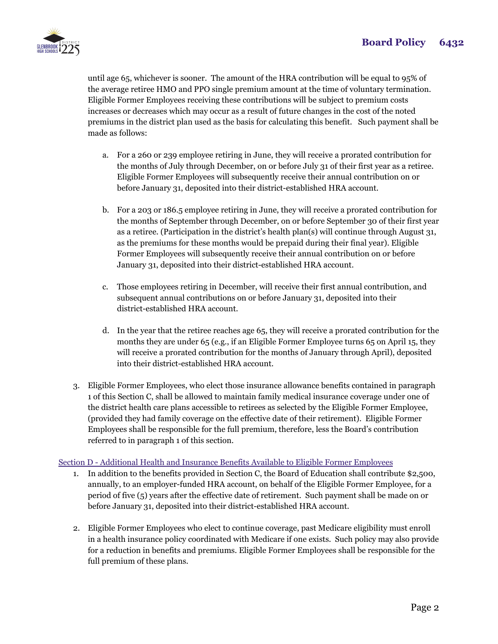

until age 65, whichever is sooner. The amount of the HRA contribution will be equal to 95% of the average retiree HMO and PPO single premium amount at the time of voluntary termination. Eligible Former Employees receiving these contributions will be subject to premium costs increases or decreases which may occur as a result of future changes in the cost of the noted premiums in the district plan used as the basis for calculating this benefit. Such payment shall be made as follows:

- a. For a 260 or 239 employee retiring in June, they will receive a prorated contribution for the months of July through December, on or before July 31 of their first year as a retiree. Eligible Former Employees will subsequently receive their annual contribution on or before January 31, deposited into their district-established HRA account.
- b. For a 203 or 186.5 employee retiring in June, they will receive a prorated contribution for the months of September through December, on or before September 30 of their first year as a retiree. (Participation in the district's health plan(s) will continue through August 31, as the premiums for these months would be prepaid during their final year). Eligible Former Employees will subsequently receive their annual contribution on or before January 31, deposited into their district-established HRA account.
- c. Those employees retiring in December, will receive their first annual contribution, and subsequent annual contributions on or before January 31, deposited into their district-established HRA account.
- d. In the year that the retiree reaches age 65, they will receive a prorated contribution for the months they are under 65 (e.g., if an Eligible Former Employee turns 65 on April 15, they will receive a prorated contribution for the months of January through April), deposited into their district-established HRA account.
- 3. Eligible Former Employees, who elect those insurance allowance benefits contained in paragraph 1 of this Section C, shall be allowed to maintain family medical insurance coverage under one of the district health care plans accessible to retirees as selected by the Eligible Former Employee, (provided they had family coverage on the effective date of their retirement). Eligible Former Employees shall be responsible for the full premium, therefore, less the Board's contribution referred to in paragraph 1 of this section.

### Section D - Additional Health and Insurance Benefits Available to Eligible Former Employees

- 1. In addition to the benefits provided in Section C, the Board of Education shall contribute \$2,500, annually, to an employer-funded HRA account, on behalf of the Eligible Former Employee, for a period of five (5) years after the effective date of retirement. Such payment shall be made on or before January 31, deposited into their district-established HRA account.
- 2. Eligible Former Employees who elect to continue coverage, past Medicare eligibility must enroll in a health insurance policy coordinated with Medicare if one exists. Such policy may also provide for a reduction in benefits and premiums. Eligible Former Employees shall be responsible for the full premium of these plans.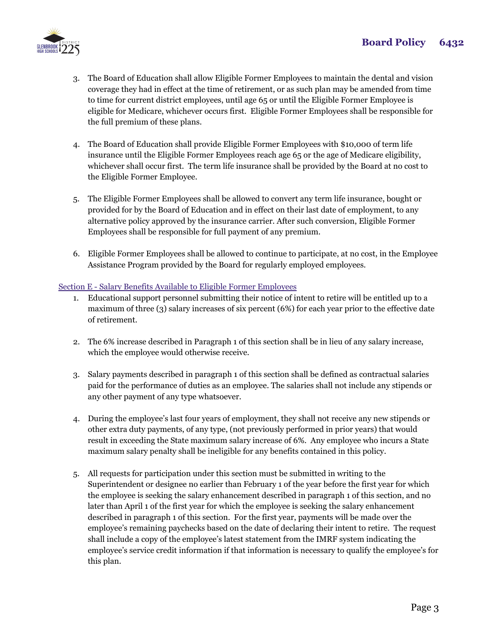

- 3. The Board of Education shall allow Eligible Former Employees to maintain the dental and vision coverage they had in effect at the time of retirement, or as such plan may be amended from time to time for current district employees, until age 65 or until the Eligible Former Employee is eligible for Medicare, whichever occurs first. Eligible Former Employees shall be responsible for the full premium of these plans.
- 4. The Board of Education shall provide Eligible Former Employees with \$10,000 of term life insurance until the Eligible Former Employees reach age 65 or the age of Medicare eligibility, whichever shall occur first. The term life insurance shall be provided by the Board at no cost to the Eligible Former Employee.
- 5. The Eligible Former Employees shall be allowed to convert any term life insurance, bought or provided for by the Board of Education and in effect on their last date of employment, to any alternative policy approved by the insurance carrier. After such conversion, Eligible Former Employees shall be responsible for full payment of any premium.
- 6. Eligible Former Employees shall be allowed to continue to participate, at no cost, in the Employee Assistance Program provided by the Board for regularly employed employees.

### Section E - Salary Benefits Available to Eligible Former Employees

- 1. Educational support personnel submitting their notice of intent to retire will be entitled up to a maximum of three (3) salary increases of six percent (6%) for each year prior to the effective date of retirement.
- 2. The 6% increase described in Paragraph 1 of this section shall be in lieu of any salary increase, which the employee would otherwise receive.
- 3. Salary payments described in paragraph 1 of this section shall be defined as contractual salaries paid for the performance of duties as an employee. The salaries shall not include any stipends or any other payment of any type whatsoever.
- 4. During the employee's last four years of employment, they shall not receive any new stipends or other extra duty payments, of any type, (not previously performed in prior years) that would result in exceeding the State maximum salary increase of 6%. Any employee who incurs a State maximum salary penalty shall be ineligible for any benefits contained in this policy.
- 5. All requests for participation under this section must be submitted in writing to the Superintendent or designee no earlier than February 1 of the year before the first year for which the employee is seeking the salary enhancement described in paragraph 1 of this section, and no later than April 1 of the first year for which the employee is seeking the salary enhancement described in paragraph 1 of this section. For the first year, payments will be made over the employee's remaining paychecks based on the date of declaring their intent to retire. The request shall include a copy of the employee's latest statement from the IMRF system indicating the employee's service credit information if that information is necessary to qualify the employee's for this plan.